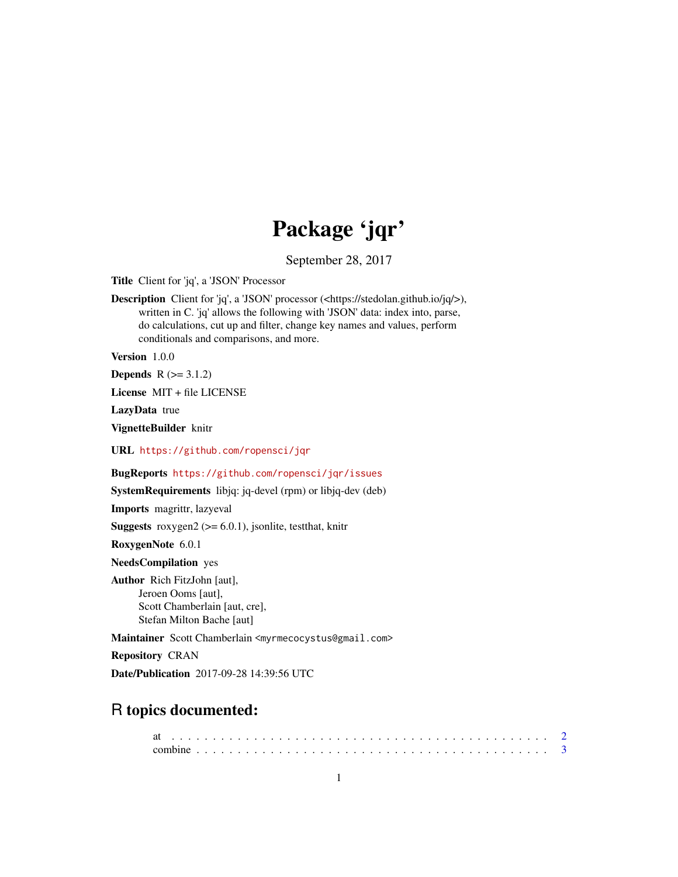# Package 'jqr'

September 28, 2017

<span id="page-0-0"></span>Title Client for 'jq', a 'JSON' Processor

Description Client for 'jq', a 'JSON' processor (<https://stedolan.github.io/jq/>), written in C. 'jq' allows the following with 'JSON' data: index into, parse, do calculations, cut up and filter, change key names and values, perform conditionals and comparisons, and more.

Version 1.0.0

**Depends**  $R$  ( $>= 3.1.2$ )

License MIT + file LICENSE

LazyData true

VignetteBuilder knitr

URL <https://github.com/ropensci/jqr>

BugReports <https://github.com/ropensci/jqr/issues>

SystemRequirements libjq: jq-devel (rpm) or libjq-dev (deb)

Imports magrittr, lazyeval

**Suggests** roxygen2 ( $> = 6.0.1$ ), jsonlite, test that, knitr

RoxygenNote 6.0.1

NeedsCompilation yes

Author Rich FitzJohn [aut], Jeroen Ooms [aut], Scott Chamberlain [aut, cre], Stefan Milton Bache [aut]

Maintainer Scott Chamberlain <myrmecocystus@gmail.com>

Repository CRAN

Date/Publication 2017-09-28 14:39:56 UTC

# R topics documented: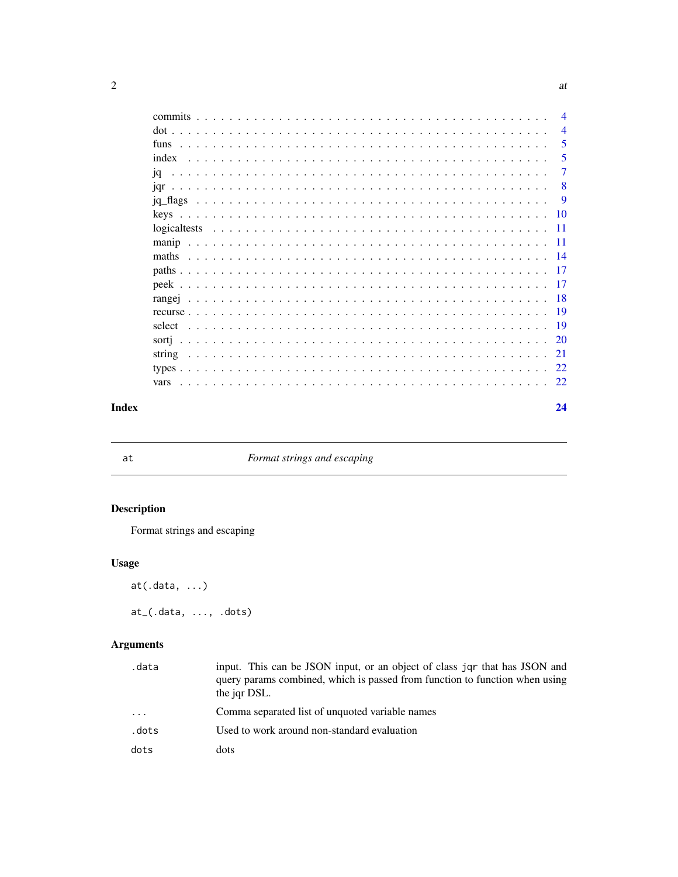|       |        | $\overline{4}$ |
|-------|--------|----------------|
|       |        | $\overline{4}$ |
|       |        | -5             |
|       |        | 5              |
|       |        | 7              |
|       |        | -8             |
|       |        | -9             |
|       |        |                |
|       |        |                |
|       |        |                |
|       |        |                |
|       |        |                |
|       |        |                |
|       |        |                |
|       |        |                |
|       | select |                |
|       |        |                |
|       |        |                |
|       |        |                |
|       |        |                |
| Index |        | 24             |

at *Format strings and escaping*

# Description

Format strings and escaping

## Usage

at(.data, ...)

at\_(.data, ..., .dots)

## Arguments

| .data | input. This can be JSON input, or an object of class jor that has JSON and<br>query params combined, which is passed from function to function when using<br>the jar DSL. |
|-------|---------------------------------------------------------------------------------------------------------------------------------------------------------------------------|
| .     | Comma separated list of unquoted variable names                                                                                                                           |
| .dots | Used to work around non-standard evaluation                                                                                                                               |
| dots  | dots                                                                                                                                                                      |

<span id="page-1-0"></span> $2 \times 2$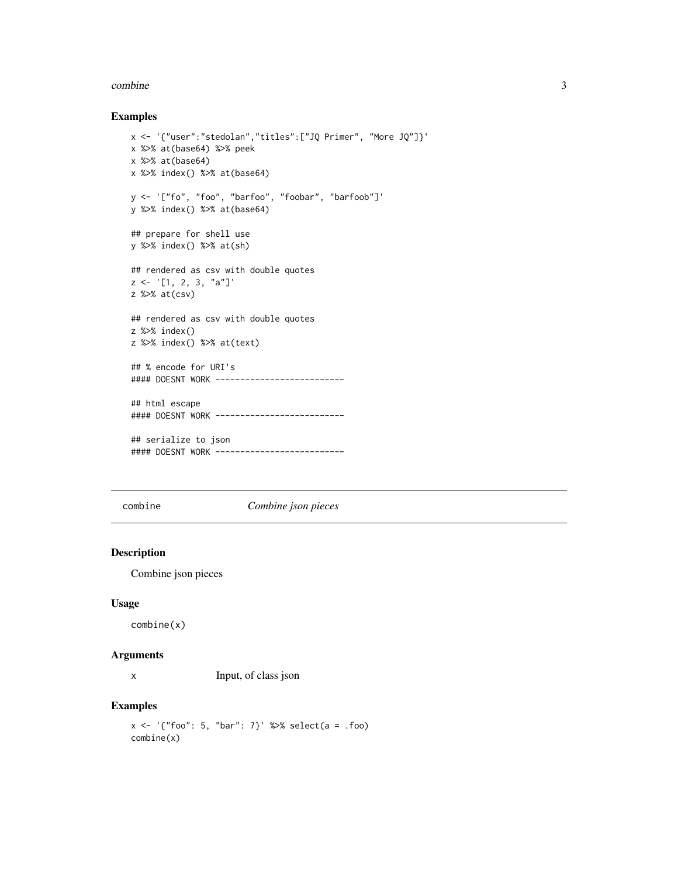#### <span id="page-2-0"></span>combine 3

#### Examples

```
x <- '{"user":"stedolan","titles":["JQ Primer", "More JQ"]}'
x %>% at(base64) %>% peek
x %>% at(base64)
x %>% index() %>% at(base64)
y <- '["fo", "foo", "barfoo", "foobar", "barfoob"]'
y %>% index() %>% at(base64)
## prepare for shell use
y %>% index() %>% at(sh)
## rendered as csv with double quotes
z \leq '[1, 2, 3, "a"]'
z %>% at(csv)
## rendered as csv with double quotes
z %>% index()
z %>% index() %>% at(text)
## % encode for URI's
#### DOESNT WORK --------------------------
## html escape
#### DOESNT WORK --------------------------
## serialize to json
#### DOESNT WORK -------------------------
```
combine *Combine json pieces*

#### Description

Combine json pieces

#### Usage

combine(x)

#### Arguments

x Input, of class json

```
x \le - '{"foo": 5, "bar": 7}' %>% select(a = .foo)
combine(x)
```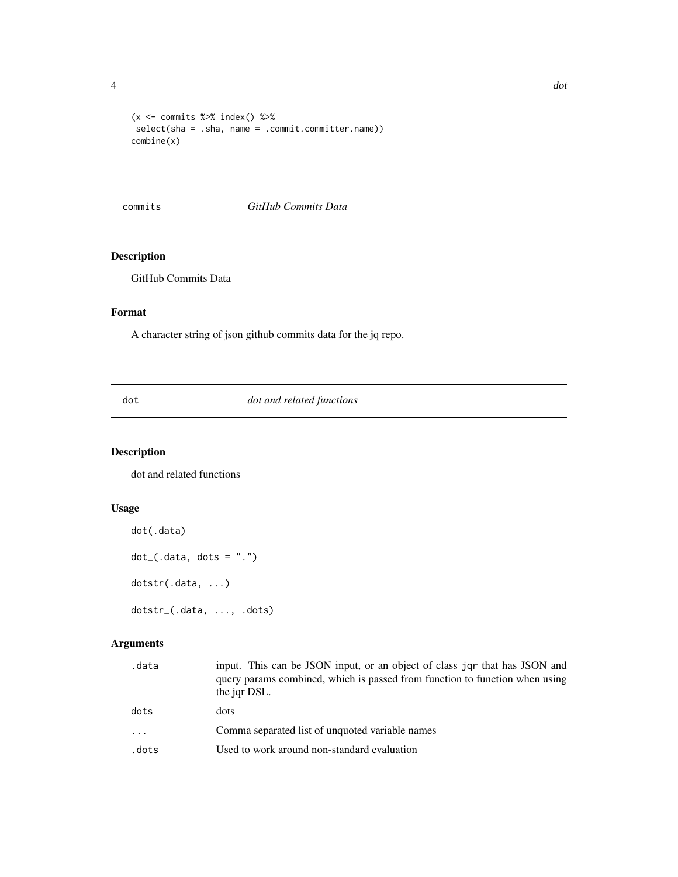<span id="page-3-0"></span>

```
(x \leq - commits %>% index() %>%
 select(sha = .sha, name = .commit.committer.name))
combine(x)
```
#### commits *GitHub Commits Data*

### Description

GitHub Commits Data

#### Format

A character string of json github commits data for the jq repo.

dot *dot and related functions*

#### Description

dot and related functions

#### Usage

```
dot(.data)
dot_{-}(.data, dots = ".'')dotstr(.data, ...)
dotstr_(.data, ..., .dots)
```
#### Arguments

| .data | input. This can be JSON input, or an object of class jor that has JSON and<br>query params combined, which is passed from function to function when using<br>the jqr DSL. |
|-------|---------------------------------------------------------------------------------------------------------------------------------------------------------------------------|
| dots  | dots                                                                                                                                                                      |
| .     | Comma separated list of unquoted variable names                                                                                                                           |
| .dots | Used to work around non-standard evaluation                                                                                                                               |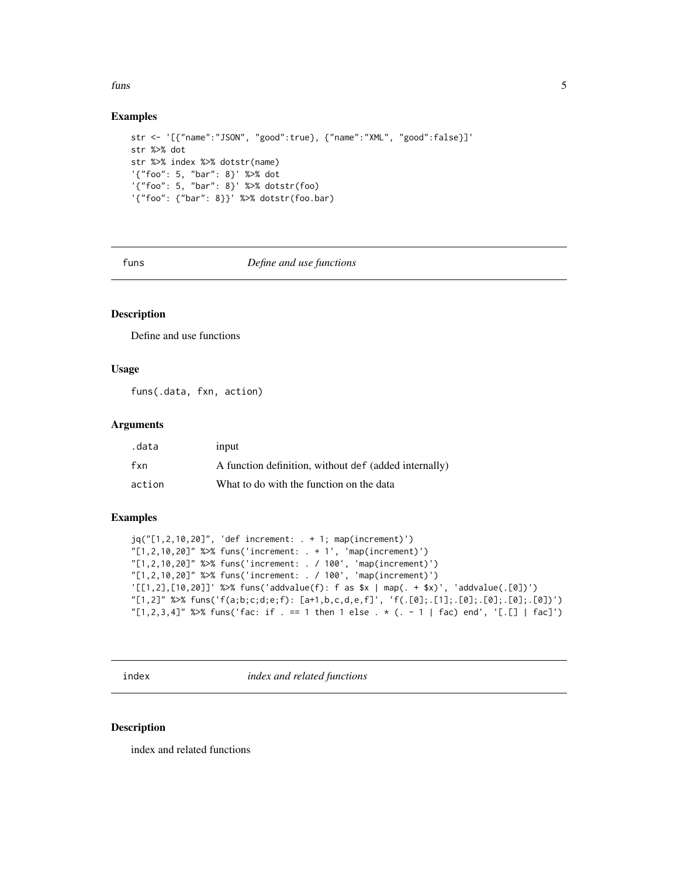#### <span id="page-4-0"></span>funs 5

#### Examples

```
str <- '[{"name":"JSON", "good":true}, {"name":"XML", "good":false}]'
str %>% dot
str %>% index %>% dotstr(name)
'{"foo": 5, "bar": 8}' %>% dot
'{"foo": 5, "bar": 8}' %>% dotstr(foo)
'{"foo": {"bar": 8}}' %>% dotstr(foo.bar)
```
funs *Define and use functions*

#### Description

Define and use functions

#### Usage

funs(.data, fxn, action)

#### Arguments

| .data  | input                                                 |
|--------|-------------------------------------------------------|
| fxn    | A function definition, without def (added internally) |
| action | What to do with the function on the data              |

#### Examples

```
jq("[1,2,10,20]", 'def increment: . + 1; map(increment)')
"[1,2,10,20]" %>% funs('increment: . + 1', 'map(increment)')
"[1,2,10,20]" %>% funs('increment: . / 100', 'map(increment)')
"[1,2,10,20]" %>% funs('increment: . / 100', 'map(increment)')
'[[1,2],[10,20]]' %>% funs('addvalue(f): f as $x | map(. + $x)', 'addvalue(.[0])')
"[1,2]" %>% funs('f(a;b;c;d;e;f): [a+1,b,c,d,e,f]', 'f(.[0];.[1];.[0];.[0];.[0];.[0])')
"[1,2,3,4]" %>% funs('fac: if . == 1 then 1 else . * (. - 1 | fac) end', '[.[] | fac]')
```
index *index and related functions*

#### Description

index and related functions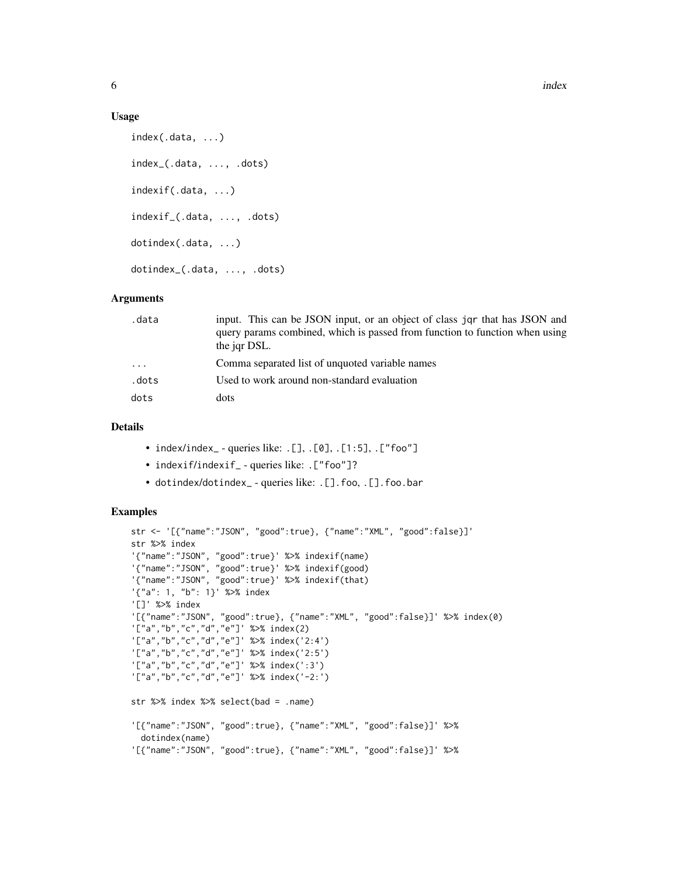#### Usage

```
index(.data, ...)
index_(.data, ..., .dots)
indexif(.data, ...)
indexif_(.data, ..., .dots)
dotindex(.data, ...)
dotindex_(.data, ..., .dots)
```
#### Arguments

| .data      | input. This can be JSON input, or an object of class jqr that has JSON and<br>query params combined, which is passed from function to function when using<br>the jar DSL. |
|------------|---------------------------------------------------------------------------------------------------------------------------------------------------------------------------|
| $\ddots$ . | Comma separated list of unquoted variable names                                                                                                                           |
| .dots      | Used to work around non-standard evaluation                                                                                                                               |
| dots       | dots                                                                                                                                                                      |

#### Details

- index/index\_ queries like: .[], .[0], .[1:5], .["foo"]
- indexif/indexif\_ queries like: . ["foo"]?
- dotindex/dotindex\_ queries like: .[].foo, .[].foo.bar

```
str <- '[{"name":"JSON", "good":true}, {"name":"XML", "good":false}]'
str %>% index
'{"name":"JSON", "good":true}' %>% indexif(name)
'{"name":"JSON", "good":true}' %>% indexif(good)
'{"name":"JSON", "good":true}' %>% indexif(that)
'{"a": 1, "b": 1}' %>% index
'[]' %>% index
'[{"name":"JSON", "good":true}, {"name":"XML", "good":false}]' %>% index(0)
'["a","b","c","d","e"]' %>% index(2)
'["a","b","c","d","e"]' %>% index('2:4')
'["a","b","c","d","e"]' %>% index('2:5')
'["a","b","c","d","e"]' %>% index(':3')
'["a","b","c","d","e"]' %>% index('-2:')
str %>% index %>% select(bad = .name)
'[{"name":"JSON", "good":true}, {"name":"XML", "good":false}]' %>%
 dotindex(name)
'[{"name":"JSON", "good":true}, {"name":"XML", "good":false}]' %>%
```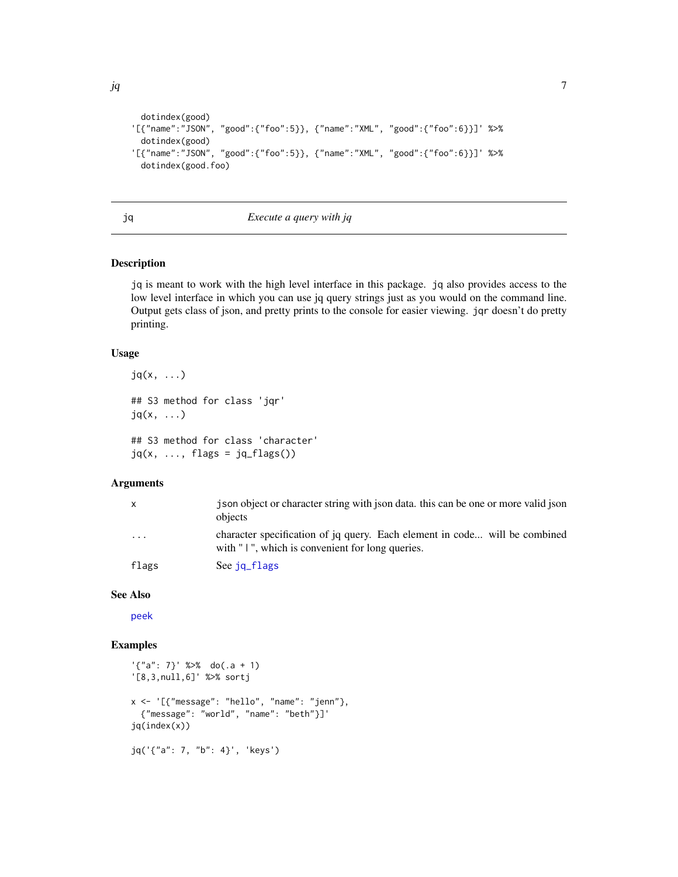```
jq 7
```

```
dotindex(good)
'[{"name":"JSON", "good":{"foo":5}}, {"name":"XML", "good":{"foo":6}}]' %>%
 dotindex(good)
'[{"name":"JSON", "good":{"foo":5}}, {"name":"XML", "good":{"foo":6}}]' %>%
 dotindex(good.foo)
```
<span id="page-6-1"></span>

#### jq *Execute a query with jq*

#### Description

jq is meant to work with the high level interface in this package. jq also provides access to the low level interface in which you can use jq query strings just as you would on the command line. Output gets class of json, and pretty prints to the console for easier viewing. jqr doesn't do pretty printing.

#### Usage

 $jq(x, \ldots)$ ## S3 method for class 'jqr'  $jq(x, \ldots)$ ## S3 method for class 'character'

 $jq(x, \ldots, flags = jq_flags())$ 

#### Arguments

| x                       | ison object or character string with json data, this can be one or more valid json<br>objects                                 |
|-------------------------|-------------------------------------------------------------------------------------------------------------------------------|
| $\cdot$ $\cdot$ $\cdot$ | character specification of jq query. Each element in code will be combined<br>with "1", which is convenient for long queries. |
| flags                   | See jq_flags                                                                                                                  |

#### See Also

[peek](#page-16-1)

```
'{"a": 7}' %>% do(.a + 1)
'[8,3,null,6]' %>% sortj
x <- '[{"message": "hello", "name": "jenn"},
  {"message": "world", "name": "beth"}]'
jq(index(x))
jq('{"a": 7, "b": 4}', 'keys')
```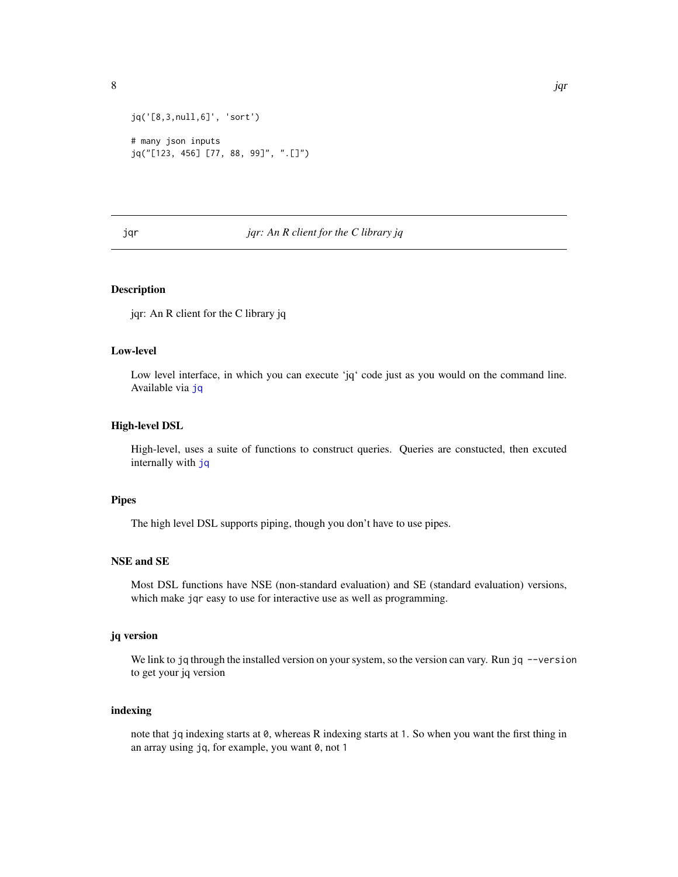<span id="page-7-0"></span>

```
jq('[8,3,null,6]', 'sort')
# many json inputs
jq("[123, 456] [77, 88, 99]", ".[]")
```
#### jqr *jqr: An R client for the C library jq*

#### Description

jqr: An R client for the C library jq

#### Low-level

Low level interface, in which you can execute 'jq' code just as you would on the command line. Available via [jq](#page-6-1)

#### High-level DSL

High-level, uses a suite of functions to construct queries. Queries are constucted, then excuted internally with [jq](#page-6-1)

#### Pipes

The high level DSL supports piping, though you don't have to use pipes.

#### NSE and SE

Most DSL functions have NSE (non-standard evaluation) and SE (standard evaluation) versions, which make jqr easy to use for interactive use as well as programming.

#### jq version

We link to jq through the installed version on your system, so the version can vary. Run jq  $-$ version to get your jq version

#### indexing

note that jq indexing starts at 0, whereas R indexing starts at 1. So when you want the first thing in an array using jq, for example, you want 0, not 1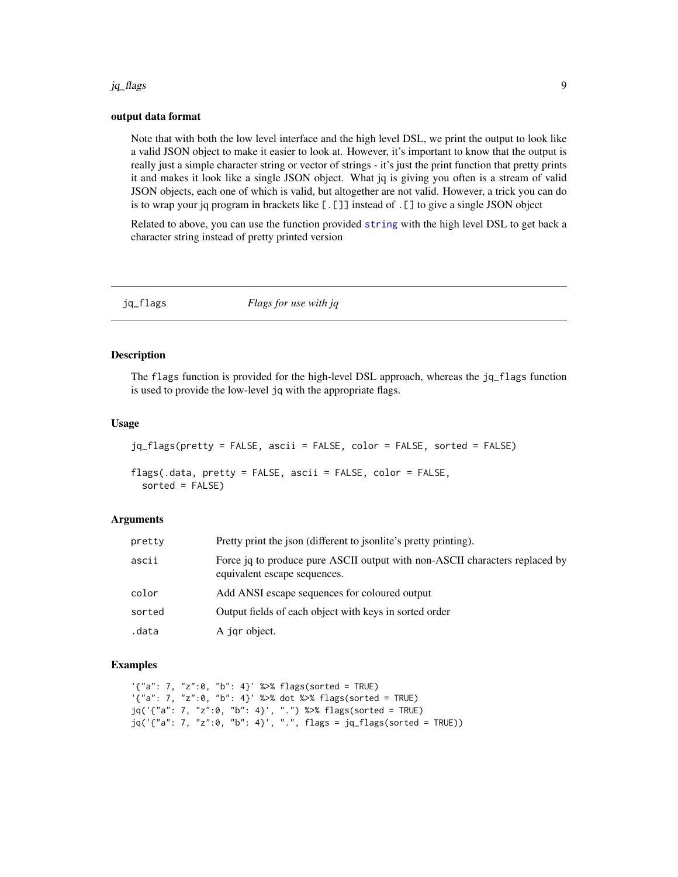#### <span id="page-8-0"></span>jq\_flags 9

#### output data format

Note that with both the low level interface and the high level DSL, we print the output to look like a valid JSON object to make it easier to look at. However, it's important to know that the output is really just a simple character string or vector of strings - it's just the print function that pretty prints it and makes it look like a single JSON object. What jq is giving you often is a stream of valid JSON objects, each one of which is valid, but altogether are not valid. However, a trick you can do is to wrap your jq program in brackets like [.[]] instead of .[] to give a single JSON object

Related to above, you can use the function provided [string](#page-20-1) with the high level DSL to get back a character string instead of pretty printed version

<span id="page-8-1"></span>

| jq_flags | Flags for use with jq |  |
|----------|-----------------------|--|
|----------|-----------------------|--|

#### Description

The flags function is provided for the high-level DSL approach, whereas the jq\_flags function is used to provide the low-level jq with the appropriate flags.

#### Usage

```
jq_flags(pretty = FALSE, ascii = FALSE, color = FALSE, sorted = FALSE)
flags(.data, pretty = FALSE, ascii = FALSE, color = FALSE,
  sorted = FALSE)
```
#### Arguments

| pretty | Pretty print the json (different to json lite's pretty printing).                                           |
|--------|-------------------------------------------------------------------------------------------------------------|
| ascii  | Force jq to produce pure ASCII output with non-ASCII characters replaced by<br>equivalent escape sequences. |
| color  | Add ANSI escape sequences for coloured output                                                               |
| sorted | Output fields of each object with keys in sorted order                                                      |
| .data  | A jar object.                                                                                               |

#### Examples

'{"a": 7, "z":0, "b": 4}' %>% flags(sorted = TRUE) '{"a": 7, "z":0, "b": 4}' %>% dot %>% flags(sorted = TRUE) jq('{"a": 7, "z":0, "b": 4}', ".") %>% flags(sorted = TRUE) jq('{"a": 7, "z":0, "b": 4}', ".", flags = jq\_flags(sorted = TRUE))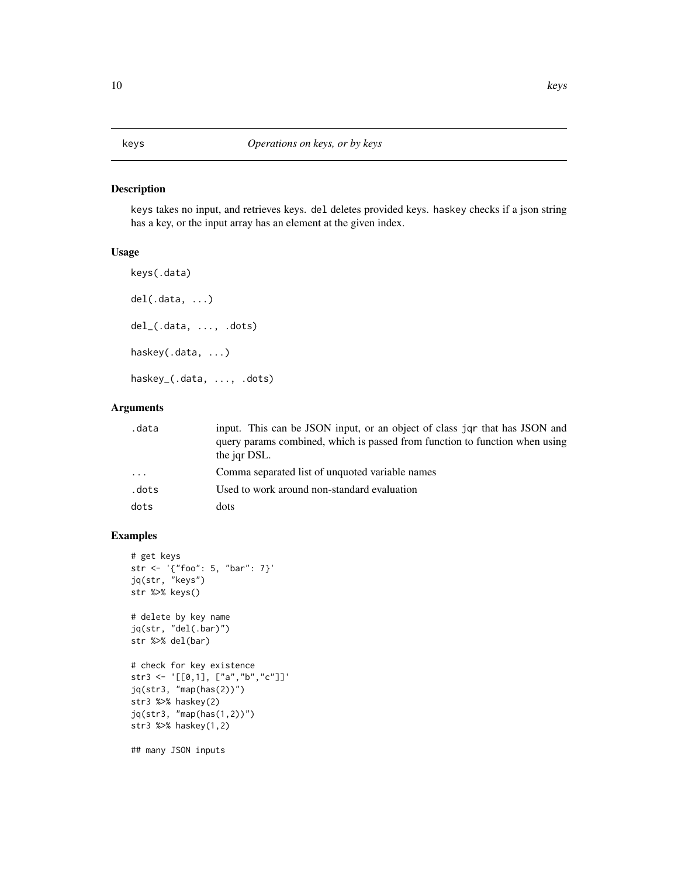#### <span id="page-9-0"></span>Description

keys takes no input, and retrieves keys. del deletes provided keys. haskey checks if a json string has a key, or the input array has an element at the given index.

#### Usage

```
keys(.data)
del(.data, ...)
del_(.data, ..., .dots)
haskey(.data, ...)
haskey_(.data, ..., .dots)
```
#### Arguments

| .data | input. This can be JSON input, or an object of class jor that has JSON and<br>query params combined, which is passed from function to function when using |
|-------|-----------------------------------------------------------------------------------------------------------------------------------------------------------|
| .     | the jar DSL.<br>Comma separated list of unquoted variable names                                                                                           |
| .dots | Used to work around non-standard evaluation                                                                                                               |
| dots  | dots                                                                                                                                                      |

```
# get keys
str <- '{"foo": 5, "bar": 7}'
jq(str, "keys")
str %>% keys()
# delete by key name
jq(str, "del(.bar)")
str %>% del(bar)
# check for key existence
str3 <- '[[0,1], ["a","b","c"]]'
jq(str3, "map(has(2))")
str3 %>% haskey(2)
jq(str3, "map(has(1,2))")
str3 %>% haskey(1,2)
## many JSON inputs
```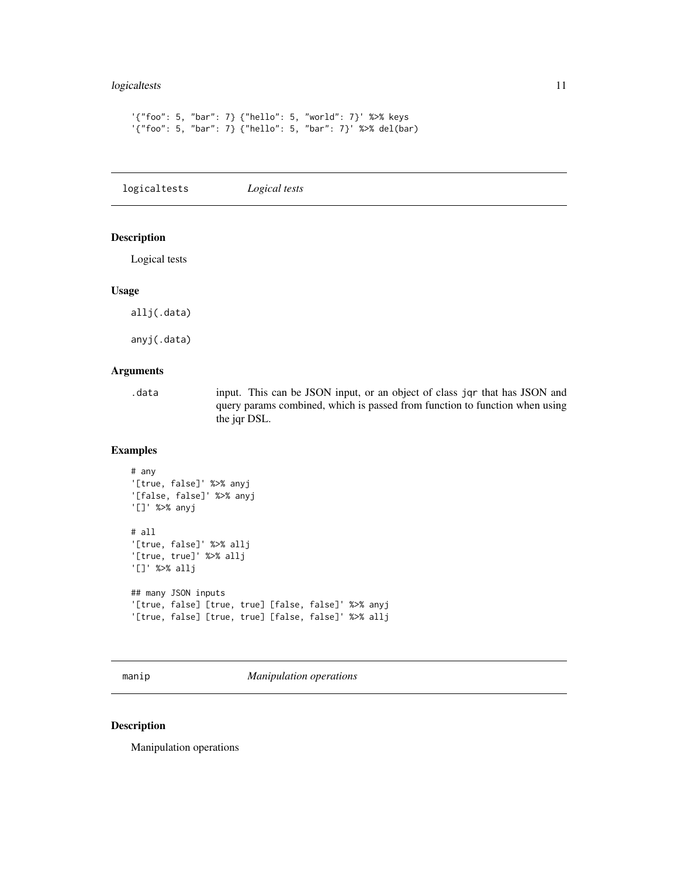#### <span id="page-10-0"></span>logicaltests 11

```
'{"foo": 5, "bar": 7} {"hello": 5, "world": 7}' %>% keys
'{"foo": 5, "bar": 7} {"hello": 5, "bar": 7}' %>% del(bar)
```
logicaltests *Logical tests*

#### Description

Logical tests

#### Usage

allj(.data)

anyj(.data)

#### Arguments

.data input. This can be JSON input, or an object of class jqr that has JSON and query params combined, which is passed from function to function when using the jqr DSL.

#### Examples

```
# any
'[true, false]' %>% anyj
'[false, false]' %>% anyj
'[]' %>% anyj
# all
'[true, false]' %>% allj
'[true, true]' %>% allj
'[]' %>% allj
## many JSON inputs
'[true, false] [true, true] [false, false]' %>% anyj
'[true, false] [true, true] [false, false]' %>% allj
```
manip *Manipulation operations*

#### Description

Manipulation operations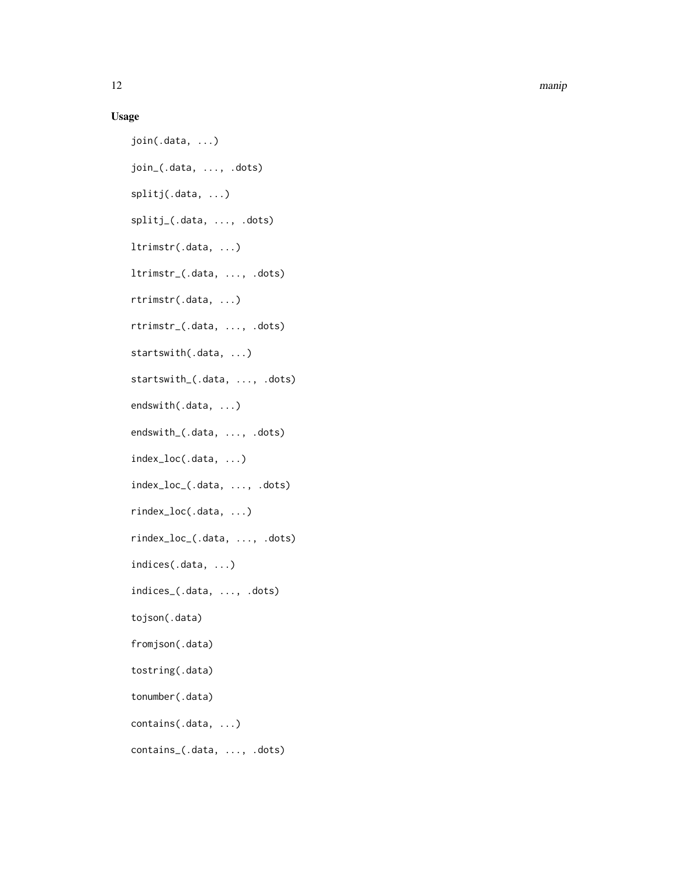12 manip

#### Usage

join(.data, ...) join\_(.data, ..., .dots) splitj(.data, ...) splitj\_(.data, ..., .dots) ltrimstr(.data, ...) ltrimstr\_(.data, ..., .dots) rtrimstr(.data, ...) rtrimstr\_(.data, ..., .dots) startswith(.data, ...) startswith\_(.data, ..., .dots) endswith(.data, ...) endswith\_(.data, ..., .dots) index\_loc(.data, ...) index\_loc\_(.data, ..., .dots) rindex\_loc(.data, ...) rindex\_loc\_(.data, ..., .dots) indices(.data, ...) indices\_(.data, ..., .dots) tojson(.data) fromjson(.data) tostring(.data) tonumber(.data) contains(.data, ...) contains\_(.data, ..., .dots)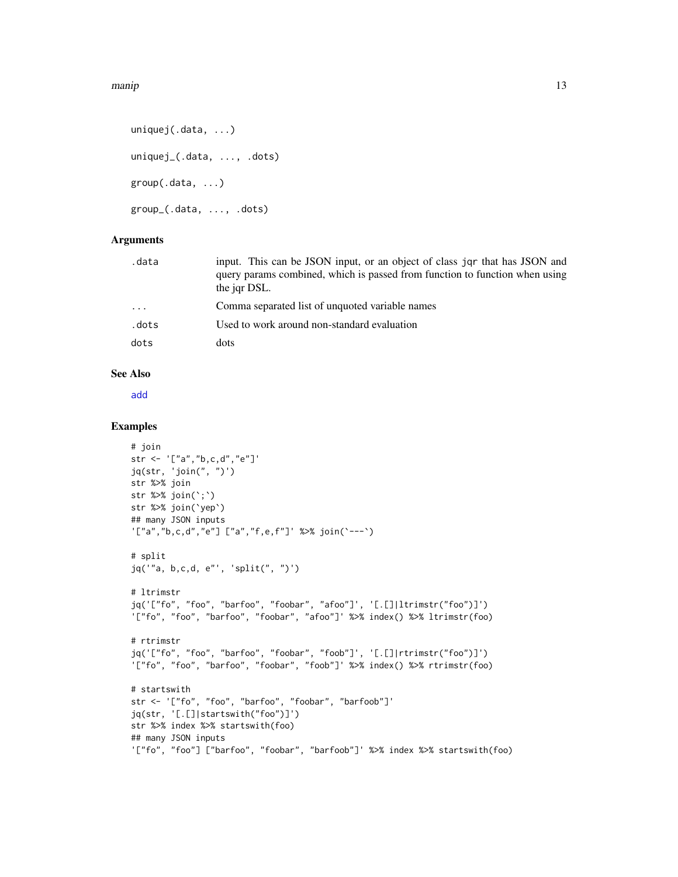```
uniquej(.data, ...)
uniquej_(.data, ..., .dots)
group(.data, ...)
group_(.data, ..., .dots)
```
#### Arguments

| .data | input. This can be JSON input, or an object of class jqr that has JSON and<br>query params combined, which is passed from function to function when using<br>the jqr DSL. |
|-------|---------------------------------------------------------------------------------------------------------------------------------------------------------------------------|
| .     | Comma separated list of unquoted variable names                                                                                                                           |
| .dots | Used to work around non-standard evaluation                                                                                                                               |
| dots  | dots                                                                                                                                                                      |
|       |                                                                                                                                                                           |

#### See Also

[add](#page-0-0)

```
# join
str <- '["a","b,c,d","e"]'
jq(str, 'join(", ")')
str %>% join
str %>% join(`;`)
str %>% join(`yep`)
## many JSON inputs
'["a","b,c,d","e"] ["a","f,e,f"]' %>% join(`---`)
# split
jq('"a, b,c,d, e"', 'split(", ")')
# ltrimstr
jq('["fo", "foo", "barfoo", "foobar", "afoo"]', '[.[]|ltrimstr("foo")]')
'["fo", "foo", "barfoo", "foobar", "afoo"]' %>% index() %>% ltrimstr(foo)
# rtrimstr
jq('["fo", "foo", "barfoo", "foobar", "foob"]', '[.[]|rtrimstr("foo")]')
'["fo", "foo", "barfoo", "foobar", "foob"]' %>% index() %>% rtrimstr(foo)
# startswith
str <- '["fo", "foo", "barfoo", "foobar", "barfoob"]'
jq(str, '[.[]|startswith("foo")]')
str %>% index %>% startswith(foo)
## many JSON inputs
'["fo", "foo"] ["barfoo", "foobar", "barfoob"]' %>% index %>% startswith(foo)
```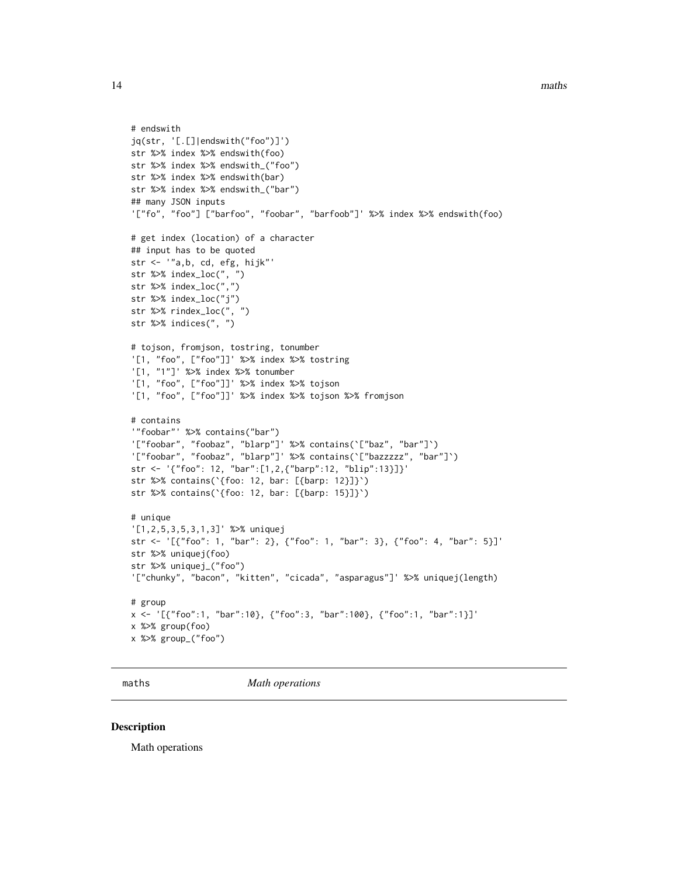```
# endswith
jq(str, '[.[]|endswith("foo")]')
str %>% index %>% endswith(foo)
str %>% index %>% endswith_("foo")
str %>% index %>% endswith(bar)
str %>% index %>% endswith_("bar")
## many JSON inputs
'["fo", "foo"] ["barfoo", "foobar", "barfoob"]' %>% index %>% endswith(foo)
# get index (location) of a character
## input has to be quoted
str <- '"a,b, cd, efg, hijk"'
str %>% index_loc(", ")
str %>% index_loc(",")
str %>% index_loc("j")
str %>% rindex_loc(", ")
str %>% indices(", ")
# tojson, fromjson, tostring, tonumber
'[1, "foo", ["foo"]]' %>% index %>% tostring
'[1, "1"]' %>% index %>% tonumber
'[1, "foo", ["foo"]]' %>% index %>% tojson
'[1, "foo", ["foo"]]' %>% index %>% tojson %>% fromjson
# contains
'"foobar"' %>% contains("bar")
'["foobar", "foobaz", "blarp"]' %>% contains(`["baz", "bar"]`)
'["foobar", "foobaz", "blarp"]' %>% contains(`["bazzzzz", "bar"]`)
str <- '{"foo": 12, "bar":[1,2,{"barp":12, "blip":13}]}'
str %>% contains(`{foo: 12, bar: [{barp: 12}]}`)
str %>% contains(`{foo: 12, bar: [{barp: 15}]}`)
# unique
'[1,2,5,3,5,3,1,3]' %>% uniquej
str <- '[{"foo": 1, "bar": 2}, {"foo": 1, "bar": 3}, {"foo": 4, "bar": 5}]'
str %>% uniquej(foo)
str %>% uniquej_("foo")
'["chunky", "bacon", "kitten", "cicada", "asparagus"]' %>% uniquej(length)
# group
x <- '[{"foo":1, "bar":10}, {"foo":3, "bar":100}, {"foo":1, "bar":1}]'
x %>% group(foo)
x %>% group_("foo")
```
maths *Math operations*

#### Description

Math operations

<span id="page-13-0"></span>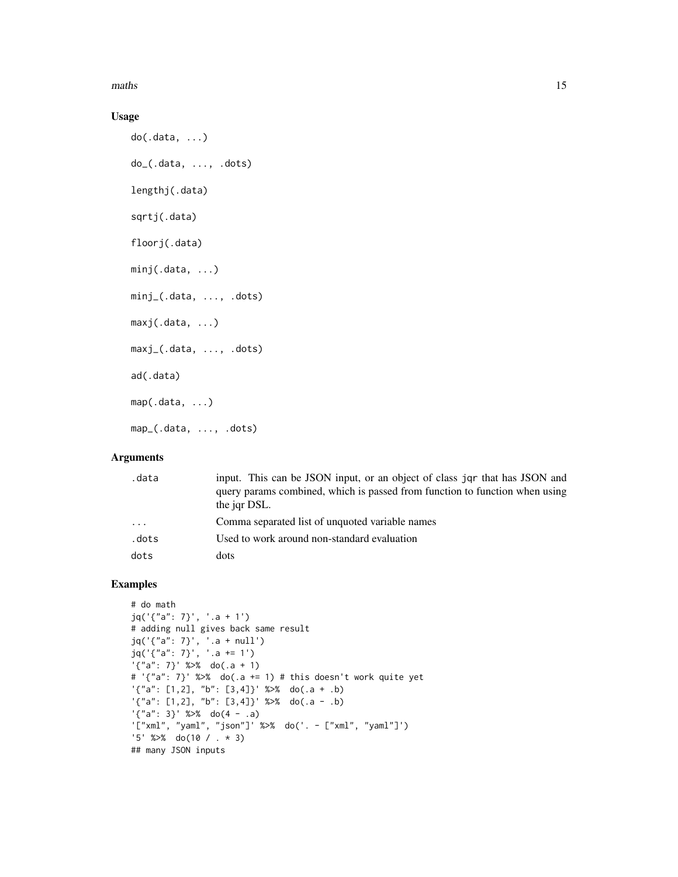maths and the contract of the contract of the contract of the contract of the contract of the contract of the contract of the contract of the contract of the contract of the contract of the contract of the contract of the

#### Usage

```
do(.data, ...)
do_(.data, ..., .dots)
lengthj(.data)
sqrtj(.data)
floorj(.data)
minj(.data, ...)
minj_(.data, ..., .dots)
maxj(.data, ...)
maxj_(.data, ..., .dots)
ad(.data)
map(.data, ...)
map_(.data, ..., .dots)
```
#### Arguments

| .data    | input. This can be JSON input, or an object of class jor that has JSON and  |
|----------|-----------------------------------------------------------------------------|
|          | query params combined, which is passed from function to function when using |
|          | the jar DSL.                                                                |
| $\cdots$ | Comma separated list of unquoted variable names                             |
| .dots    | Used to work around non-standard evaluation                                 |
| dots     | dots                                                                        |
|          |                                                                             |

```
# do math
jq('{"a": 7}', '.a + 1')
# adding null gives back same result
jq('{"a": 7}', '.a + null')
jq('{"a": 7}', '.a += 1')
'\{'a'': 7}' \ %>% do(.a + 1)
# '{"a": 7}' %>% do(.a += 1) # this doesn't work quite yet
'\{'a''}: [1,2], "b": [3,4]}' %>% do(.a + .b)
'\{\text{``a''}: [1,2], \text{``b''}: [3,4]\}' %>% do(.a - .b)
'\{'a'': 3}' \ %>% do(4 - .a)
'["xml", "yaml", "json"]' %>% do('. - ["xml", "yaml"]')
'5' %>% do(10 / . * 3)
## many JSON inputs
```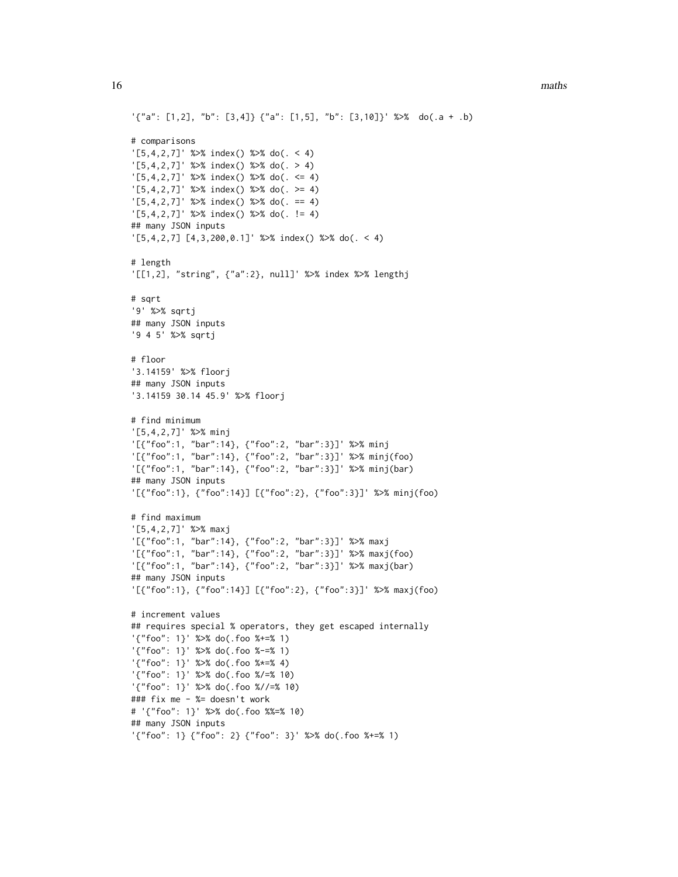```
'\{'a''}: [1,2], "b": [3,4]} {"a": [1,5], "b": [3,10]}' %>% do(.a + .b)
# comparisons
'[5,4,2,7]' %>% index() %>% do(. < 4)
'[5,4,2,7]' %>% index() %>% do(. > 4)
'[5,4,2,7]' %>% index() %>% do(. <= 4)
'[5,4,2,7]' %>% index() %>% do(. >= 4)
'[5,4,2,7]' %>% index() %>% do(. == 4)
'[5,4,2,7]' %>% index() %>% do(. != 4)
## many JSON inputs
'[5,4,2,7] [4,3,200,0.1]' %>% index() %>% do(. < 4)
# length
'[[1,2], "string", {"a":2}, null]' %>% index %>% lengthj
# sqrt
'9' %>% sqrtj
## many JSON inputs
'9 4 5' %>% sqrtj
# floor
'3.14159' %>% floorj
## many JSON inputs
'3.14159 30.14 45.9' %>% floorj
# find minimum
'[5,4,2,7]' %>% minj
'[{"foo":1, "bar":14}, {"foo":2, "bar":3}]' %>% minj
'[{"foo":1, "bar":14}, {"foo":2, "bar":3}]' %>% minj(foo)
'[{"foo":1, "bar":14}, {"foo":2, "bar":3}]' %>% minj(bar)
## many JSON inputs
'[{"foo":1}, {"foo":14}] [{"foo":2}, {"foo":3}]' %>% minj(foo)
# find maximum
'[5,4,2,7]' %>% maxj
'[{"foo":1, "bar":14}, {"foo":2, "bar":3}]' %>% maxj
'[{"foo":1, "bar":14}, {"foo":2, "bar":3}]' %>% maxj(foo)
'[{"foo":1, "bar":14}, {"foo":2, "bar":3}]' %>% maxj(bar)
## many JSON inputs
'[{"foo":1}, {"foo":14}] [{"foo":2}, {"foo":3}]' %>% maxj(foo)
# increment values
## requires special % operators, they get escaped internally
'{"foo": 1}' %>% do(.foo %+=% 1)
'{"foo": 1}' %>% do(.foo %-=% 1)
'{"foo": 1}' %>% do(.foo %*=% 4)
'{"foo": 1}' %>% do(.foo %/=% 10)
'{"foo": 1}' %>% do(.foo %//=% 10)
### fix me - %= doesn't work
# '{"foo": 1}' %>% do(.foo %%=% 10)
## many JSON inputs
'{"foo": 1} {"foo": 2} {"foo": 3}' %>% do(.foo %+=% 1)
```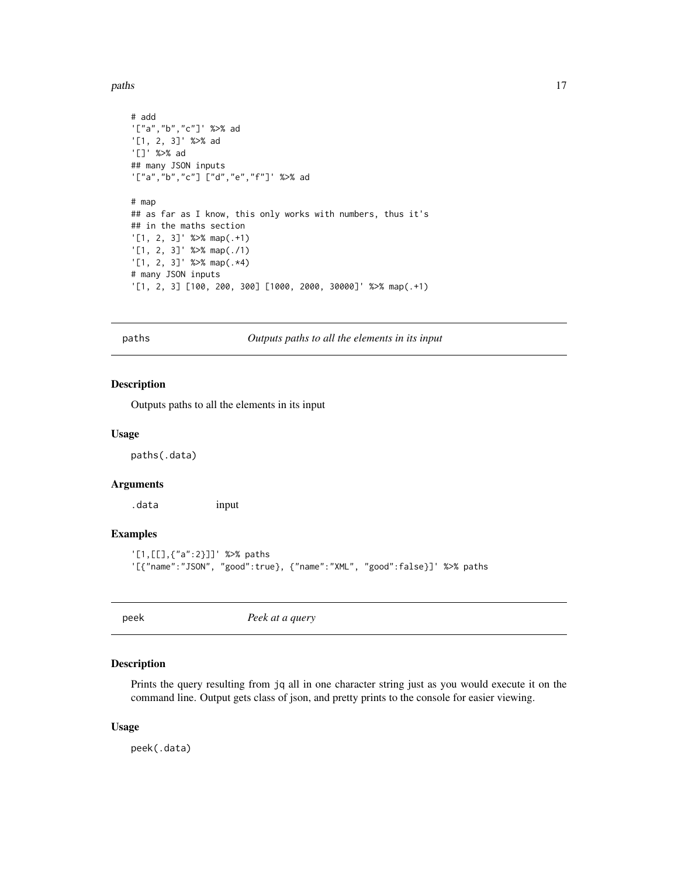<span id="page-16-0"></span>paths and the contract of the contract of the contract of the contract of the contract of the contract of the contract of the contract of the contract of the contract of the contract of the contract of the contract of the

```
# add
'["a","b","c"]' %>% ad
'[1, 2, 3]' %>% ad
'[]' %>% ad
## many JSON inputs
'["a","b","c"] ["d","e","f"]' %>% ad
# map
## as far as I know, this only works with numbers, thus it's
## in the maths section
'[1, 2, 3]' %>% map(.+1)
'[1, 2, 3]' %>% map(./1)
'[1, 2, 3]' %>% map(.*4)
# many JSON inputs
'[1, 2, 3] [100, 200, 300] [1000, 2000, 30000]' %>% map(.+1)
```
paths *Outputs paths to all the elements in its input*

#### Description

Outputs paths to all the elements in its input

#### Usage

paths(.data)

#### Arguments

.data input

#### Examples

```
'[1,[[],{"a":2}]]' %>% paths
'[{"name":"JSON", "good":true}, {"name":"XML", "good":false}]' %>% paths
```
<span id="page-16-1"></span>peek *Peek at a query*

#### Description

Prints the query resulting from jq all in one character string just as you would execute it on the command line. Output gets class of json, and pretty prints to the console for easier viewing.

#### Usage

peek(.data)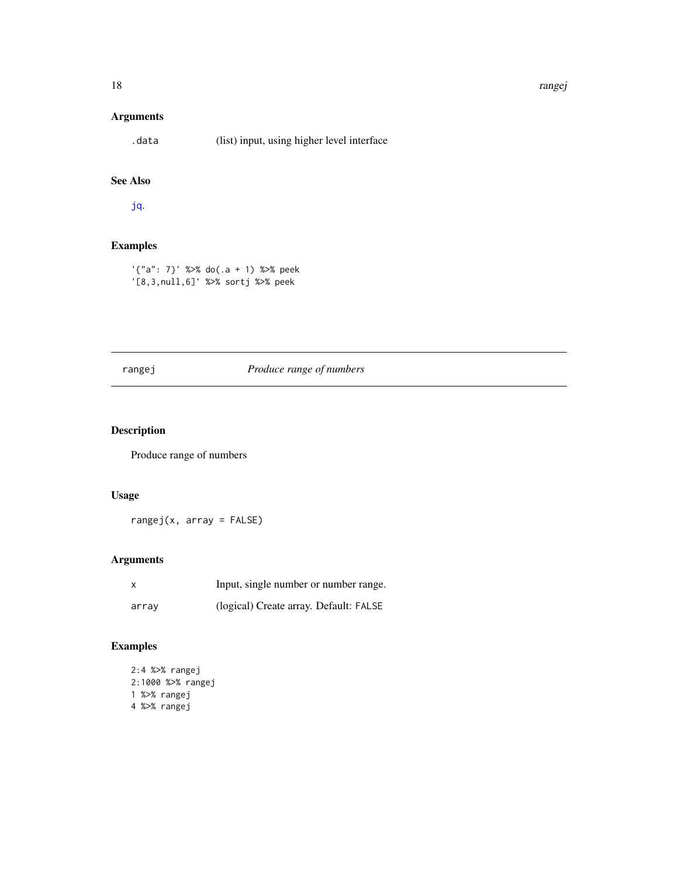#### <span id="page-17-0"></span>Arguments

.data (list) input, using higher level interface

### See Also

[jq](#page-6-1).

#### Examples

'{"a": 7}' %>% do(.a + 1) %>% peek '[8,3,null,6]' %>% sortj %>% peek

#### rangej *Produce range of numbers*

#### Description

Produce range of numbers

#### Usage

rangej(x, array = FALSE)

#### Arguments

| x     | Input, single number or number range.  |
|-------|----------------------------------------|
| array | (logical) Create array. Default: FALSE |

```
2:4 %>% rangej
2:1000 %>% rangej
1 %>% rangej
4 %>% rangej
```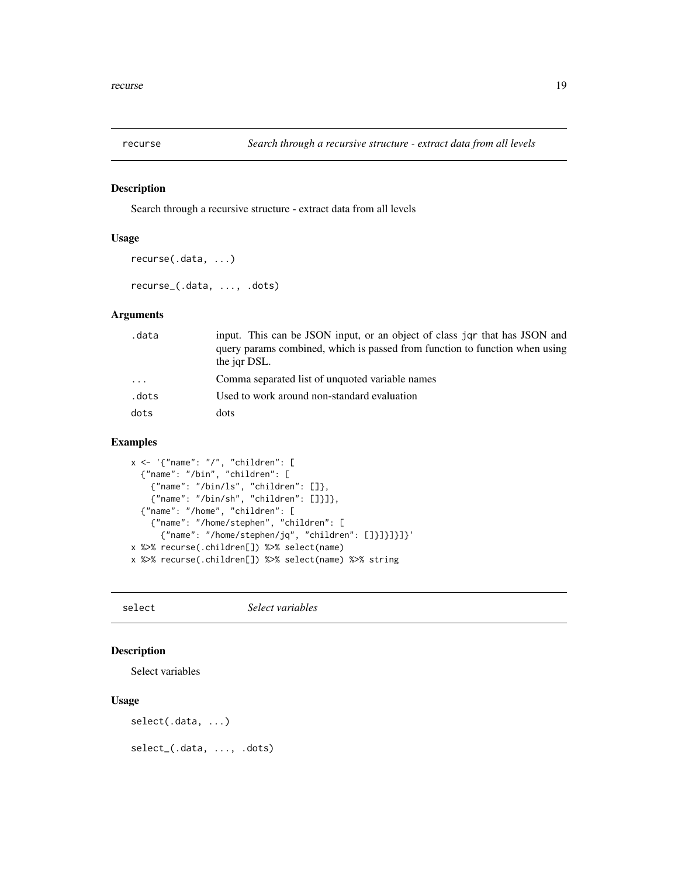<span id="page-18-0"></span>

#### Description

Search through a recursive structure - extract data from all levels

#### Usage

```
recurse(.data, ...)
recurse_(.data, ..., .dots)
```
#### Arguments

| .data | input. This can be JSON input, or an object of class jqr that has JSON and                  |
|-------|---------------------------------------------------------------------------------------------|
|       | query params combined, which is passed from function to function when using<br>the jar DSL. |
|       |                                                                                             |
| .     | Comma separated list of unquoted variable names                                             |
| .dots | Used to work around non-standard evaluation                                                 |
| dots  | dots                                                                                        |

#### Examples

```
x <- '{"name": "/", "children": [
  {"name": "/bin", "children": [
    {"name": "/bin/ls", "children": []},
    {"name": "/bin/sh", "children": []}]},
 {"name": "/home", "children": [
    {"name": "/home/stephen", "children": [
     {"name": "/home/stephen/jq", "children": []}]}]}]}'
x %>% recurse(.children[]) %>% select(name)
x %>% recurse(.children[]) %>% select(name) %>% string
```
select *Select variables*

#### Description

Select variables

#### Usage

select(.data, ...)

select\_(.data, ..., .dots)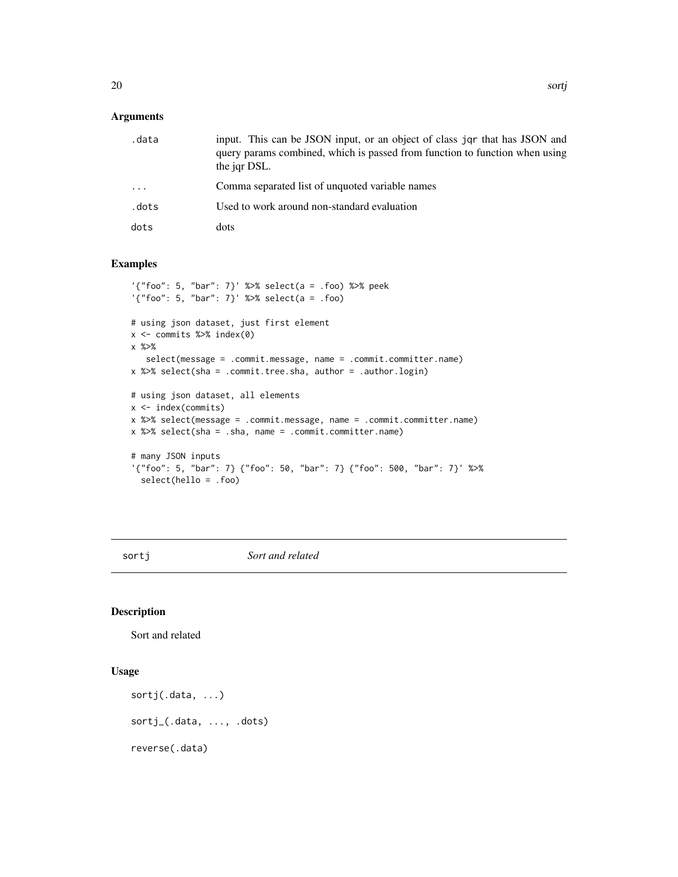#### <span id="page-19-0"></span>Arguments

| .data   | input. This can be JSON input, or an object of class jqr that has JSON and<br>query params combined, which is passed from function to function when using<br>the jqr DSL. |
|---------|---------------------------------------------------------------------------------------------------------------------------------------------------------------------------|
| $\cdot$ | Comma separated list of unquoted variable names                                                                                                                           |
| .dots   | Used to work around non-standard evaluation                                                                                                                               |
| dots    | dots                                                                                                                                                                      |

#### Examples

```
'{"foo": 5, "bar": 7}' %>% select(a = .foo) %>% peek
'{"foo": 5, "bar": 7}' %>% select(a = .foo)
# using json dataset, just first element
x <- commits %>% index(0)
x %>%
   select(message = .commit.message, name = .commit.committer.name)
x %>% select(sha = .commit.tree.sha, author = .author.login)
# using json dataset, all elements
x <- index(commits)
x %>% select(message = .commit.message, name = .commit.committer.name)
x %>% select(sha = .sha, name = .commit.committer.name)
# many JSON inputs
'{"foo": 5, "bar": 7} {"foo": 50, "bar": 7} {"foo": 500, "bar": 7}' %>%
  select(hello = .foo)
```
sortj *Sort and related*

#### Description

Sort and related

#### Usage

```
sortj(.data, ...)
sortj_(.data, ..., .dots)
reverse(.data)
```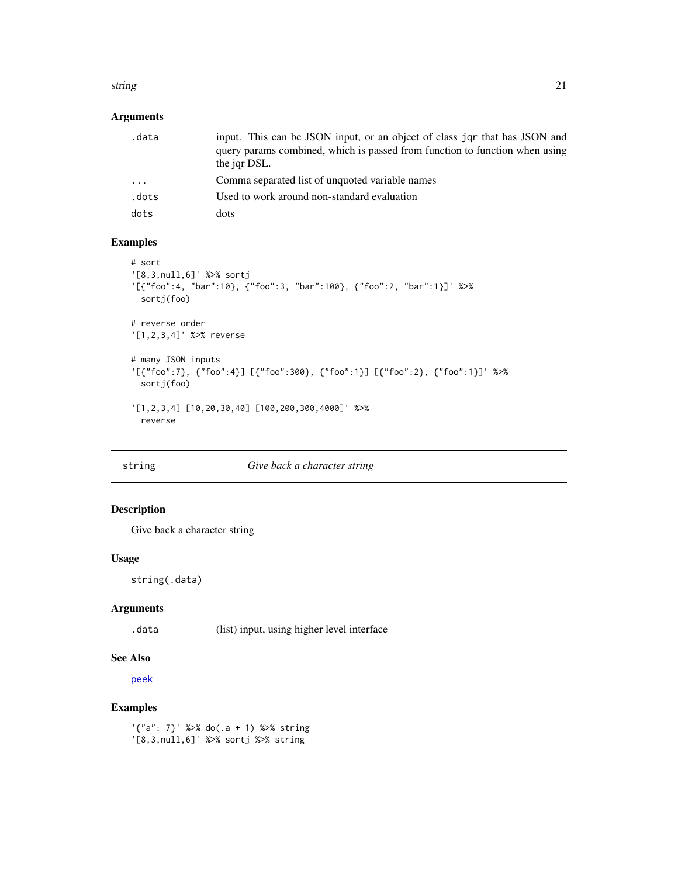#### <span id="page-20-0"></span>string 21

#### Arguments

| .data                   | input. This can be JSON input, or an object of class jor that has JSON and<br>query params combined, which is passed from function to function when using<br>the jar DSL. |
|-------------------------|---------------------------------------------------------------------------------------------------------------------------------------------------------------------------|
| $\cdot$ $\cdot$ $\cdot$ | Comma separated list of unquoted variable names                                                                                                                           |
| .dots                   | Used to work around non-standard evaluation                                                                                                                               |
| dots                    | dots                                                                                                                                                                      |

#### Examples

```
# sort
'[8,3,null,6]' %>% sortj
'[{"foo":4, "bar":10}, {"foo":3, "bar":100}, {"foo":2, "bar":1}]' %>%
 sortj(foo)
# reverse order
'[1,2,3,4]' %>% reverse
# many JSON inputs
'[{"foo":7}, {"foo":4}] [{"foo":300}, {"foo":1}] [{"foo":2}, {"foo":1}]' %>%
 sortj(foo)
'[1,2,3,4] [10,20,30,40] [100,200,300,4000]' %>%
 reverse
```

|  |  |  |  | string |  |  |
|--|--|--|--|--------|--|--|
|--|--|--|--|--------|--|--|

#### <span id="page-20-1"></span>string *Give back a character string*

#### Description

Give back a character string

#### Usage

string(.data)

#### Arguments

.data (list) input, using higher level interface

#### See Also

[peek](#page-16-1)

#### Examples

'{"a": 7}' %>% do(.a + 1) %>% string '[8,3,null,6]' %>% sortj %>% string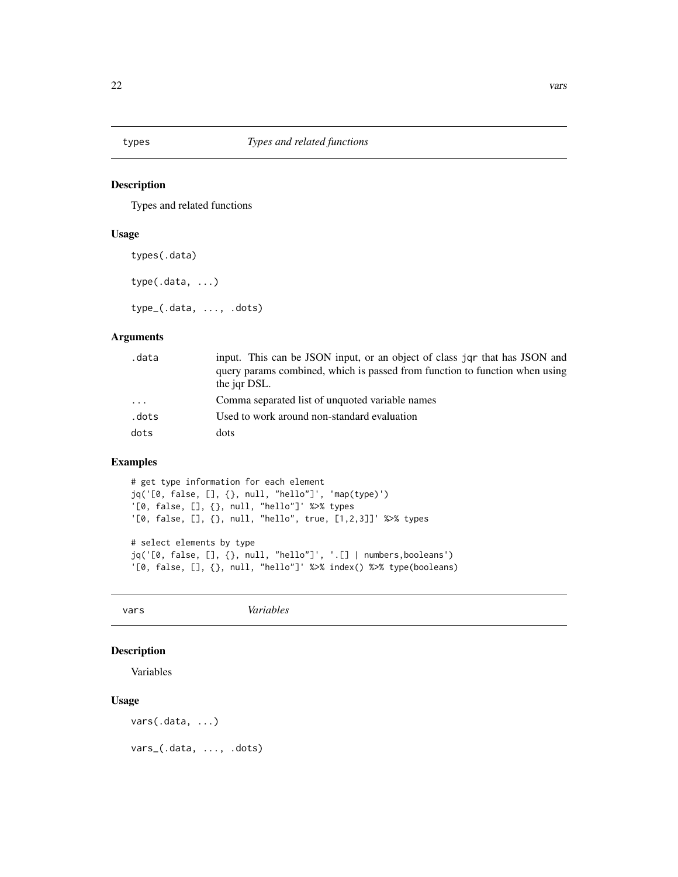<span id="page-21-0"></span>

#### Description

Types and related functions

#### Usage

types(.data)

type(.data, ...)

type\_(.data, ..., .dots)

#### Arguments

| .data                   | input. This can be JSON input, or an object of class jar that has JSON and<br>query params combined, which is passed from function to function when using<br>the jar DSL. |
|-------------------------|---------------------------------------------------------------------------------------------------------------------------------------------------------------------------|
| $\cdot$ $\cdot$ $\cdot$ | Comma separated list of unquoted variable names                                                                                                                           |
| .dots                   | Used to work around non-standard evaluation                                                                                                                               |
| dots                    | dots                                                                                                                                                                      |

#### Examples

# get type information for each element jq('[0, false, [], {}, null, "hello"]', 'map(type)') '[0, false, [], {}, null, "hello"]' %>% types '[0, false, [], {}, null, "hello", true, [1,2,3]]' %>% types

# select elements by type jq('[0, false, [], {}, null, "hello"]', '.[] | numbers,booleans') '[0, false, [], {}, null, "hello"]' %>% index() %>% type(booleans)

vars *Variables*

#### Description

Variables

#### Usage

vars(.data, ...)

vars\_(.data, ..., .dots)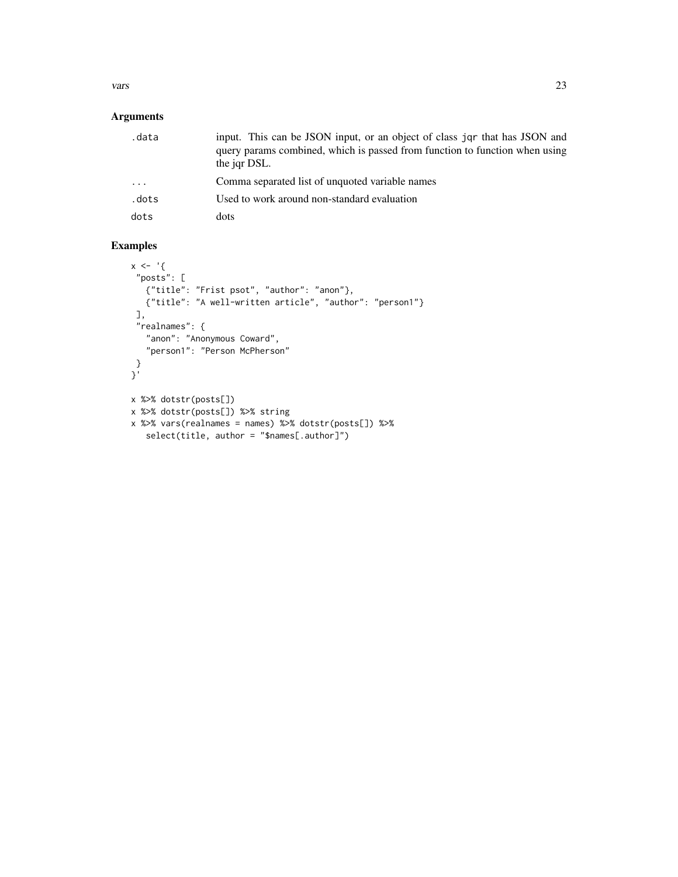#### vars 23

### Arguments

| .data                   | input. This can be JSON input, or an object of class jqr that has JSON and<br>query params combined, which is passed from function to function when using<br>the jar DSL. |
|-------------------------|---------------------------------------------------------------------------------------------------------------------------------------------------------------------------|
| $\cdot$ $\cdot$ $\cdot$ | Comma separated list of unquoted variable names                                                                                                                           |
| .dots                   | Used to work around non-standard evaluation                                                                                                                               |
| dots                    | dots                                                                                                                                                                      |

```
x < - '{
 "posts": [
  {"title": "Frist psot", "author": "anon"},
   {"title": "A well-written article", "author": "person1"}
 ],
 "realnames": {
   "anon": "Anonymous Coward",
   "person1": "Person McPherson"
 }
}'
x %>% dotstr(posts[])
x %>% dotstr(posts[]) %>% string
x %>% vars(realnames = names) %>% dotstr(posts[]) %>%
   select(title, author = "$names[.author]")
```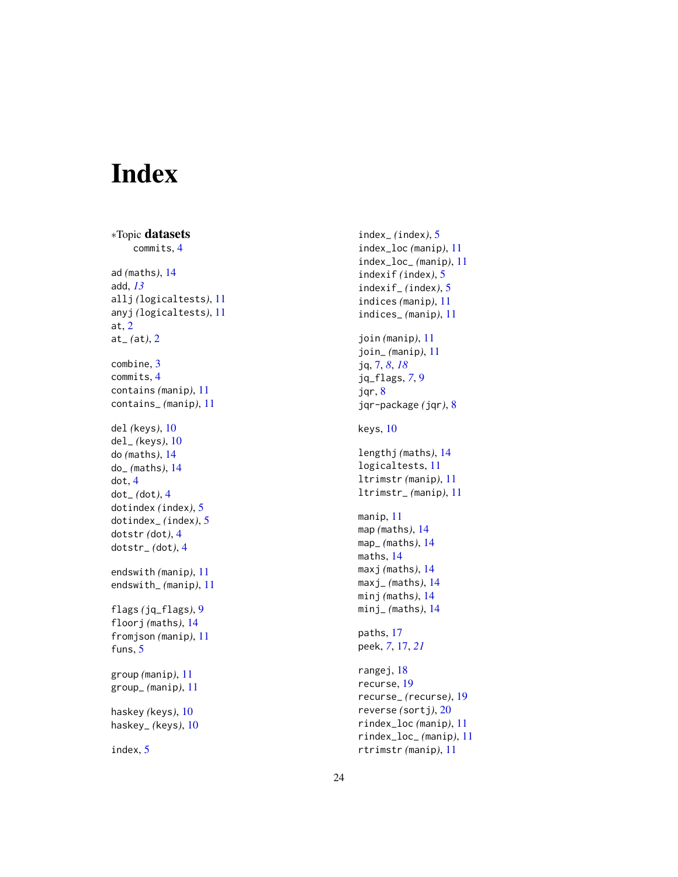# <span id="page-23-0"></span>Index

∗Topic datasets commits , [4](#page-3-0) ad *(*maths *)* , [14](#page-13-0) add , *[13](#page-12-0)* allj *(*logicaltests *)* , [11](#page-10-0) anyj *(*logicaltests *)* , [11](#page-10-0) at , [2](#page-1-0) at\_ *(*at *)* , [2](#page-1-0) combine , [3](#page-2-0) commits , [4](#page-3-0) contains *(*manip *)* , [11](#page-10-0) contains\_ *(*manip *)* , [11](#page-10-0) del *(*keys *)* , [10](#page-9-0) del\_ *(*keys *)* , [10](#page-9-0) do *(*maths *)* , [14](#page-13-0) do\_ *(*maths *)* , [14](#page-13-0) dot , [4](#page-3-0) dot\_ *(*dot *)* , [4](#page-3-0) dotindex *(*index *)* , [5](#page-4-0) dotindex\_ *(*index *)* , [5](#page-4-0) dotstr *(*dot *)* , [4](#page-3-0) dotstr\_ *(*dot *)* , [4](#page-3-0) endswith *(*manip *)* , [11](#page-10-0) endswith\_ *(*manip *)* , [11](#page-10-0) flags *(*jq\_flags *)* , [9](#page-8-0) floorj *(*maths *)* , [14](#page-13-0) fromjson *(*manip *)* , [11](#page-10-0) funs, [5](#page-4-0) group *(*manip *)* , [11](#page-10-0) group\_ *(*manip *)* , [11](#page-10-0) haskey *(*keys *)* , [10](#page-9-0) haskey\_ *(*keys *)* , [10](#page-9-0) index , [5](#page-4-0)

index\_ *(*index *)* , [5](#page-4-0) index\_loc *(*manip *)* , [11](#page-10-0) index\_loc\_ *(*manip *)* , [11](#page-10-0) indexif *(*index *)* , [5](#page-4-0) indexif\_ *(*index *)* , [5](#page-4-0) indices *(*manip *)* , [11](#page-10-0) indices\_ *(*manip *)* , [11](#page-10-0) join *(*manip *)* , [11](#page-10-0) join\_ *(*manip *)* , [11](#page-10-0) jq , [7](#page-6-0) , *[8](#page-7-0)* , *[18](#page-17-0)* jq\_flags , *[7](#page-6-0)* , [9](#page-8-0) jqr , [8](#page-7-0) jqr-package *(*jqr *)* , [8](#page-7-0) keys , [10](#page-9-0) lengthj *(*maths *)* , [14](#page-13-0) logicaltests , [11](#page-10-0) ltrimstr *(*manip *)* , [11](#page-10-0) ltrimstr\_ *(*manip *)* , [11](#page-10-0) manip , [11](#page-10-0) map *(*maths *)* , [14](#page-13-0) map\_ *(*maths *)* , [14](#page-13-0) maths , [14](#page-13-0) maxj *(*maths *)* , [14](#page-13-0) maxj\_ *(*maths *)* , [14](#page-13-0) minj *(*maths *)* , [14](#page-13-0) minj\_ *(*maths *)* , [14](#page-13-0) paths , [17](#page-16-0) peek , *[7](#page-6-0)* , [17](#page-16-0) , *[21](#page-20-0)* rangej, [18](#page-17-0) recurse , [19](#page-18-0) recurse\_ *(*recurse *)* , [19](#page-18-0) reverse *(*sortj *)* , [20](#page-19-0) rindex\_loc *(*manip *)* , [11](#page-10-0) rindex\_loc\_ *(*manip *)* , [11](#page-10-0) rtrimstr *(*manip *)* , [11](#page-10-0)